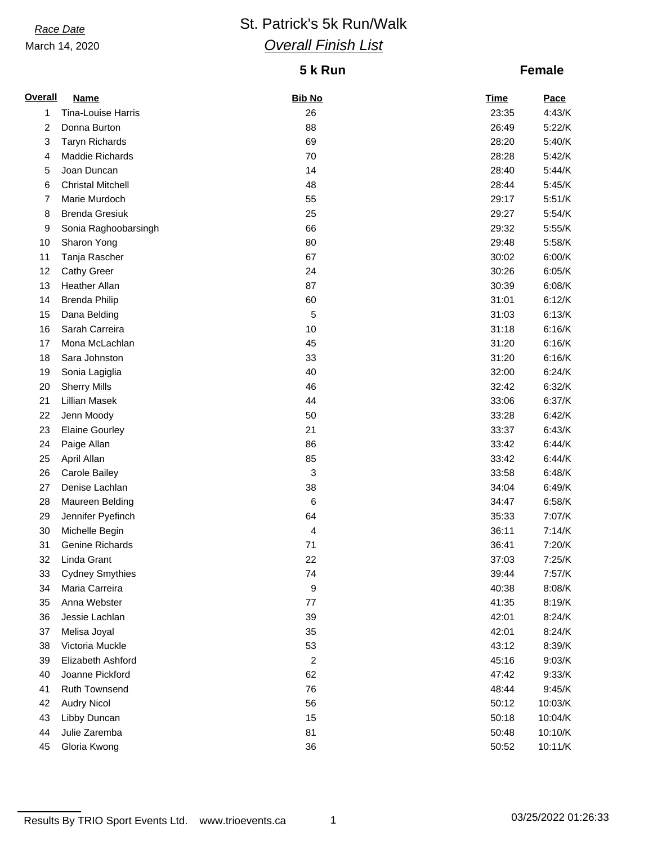### March 14, 2020

# **Race Date St. Patrick's 5k Run/Walk** *Overall Finish List*

# **5 k Run**

## **Female**

| <b>Overall</b> | <b>Name</b>              | <b>Bib No</b> | <b>Time</b> | <b>Pace</b> |
|----------------|--------------------------|---------------|-------------|-------------|
| 1              | Tina-Louise Harris       | 26            | 23:35       | 4:43/K      |
| 2              | Donna Burton             | 88            | 26:49       | 5:22/K      |
| 3              | <b>Taryn Richards</b>    | 69            | 28:20       | 5:40/K      |
| 4              | Maddie Richards          | 70            | 28:28       | 5:42/K      |
| 5              | Joan Duncan              | 14            | 28:40       | 5:44/K      |
| 6              | <b>Christal Mitchell</b> | 48            | 28:44       | 5:45/K      |
| 7              | Marie Murdoch            | 55            | 29:17       | 5:51/K      |
| 8              | <b>Brenda Gresiuk</b>    | 25            | 29:27       | 5:54/K      |
| 9              | Sonia Raghoobarsingh     | 66            | 29:32       | 5:55/K      |
| 10             | Sharon Yong              | 80            | 29:48       | 5:58/K      |
| 11             | Tanja Rascher            | 67            | 30:02       | 6:00/K      |
| 12             | <b>Cathy Greer</b>       | 24            | 30:26       | 6:05/K      |
| 13             | <b>Heather Allan</b>     | 87            | 30:39       | 6:08/K      |
| 14             | <b>Brenda Philip</b>     | 60            | 31:01       | 6:12/K      |
| 15             | Dana Belding             | 5             | 31:03       | 6:13/K      |
| 16             | Sarah Carreira           | 10            | 31:18       | 6:16/K      |
| 17             | Mona McLachlan           | 45            | 31:20       | 6:16/K      |
| 18             | Sara Johnston            | 33            | 31:20       | 6:16/K      |
| 19             | Sonia Lagiglia           | 40            | 32:00       | 6:24/K      |
| 20             | <b>Sherry Mills</b>      | 46            | 32:42       | 6:32/K      |
| 21             | Lillian Masek            | 44            | 33:06       | 6:37/K      |
| 22             | Jenn Moody               | 50            | 33:28       | 6:42/K      |
| 23             | <b>Elaine Gourley</b>    | 21            | 33:37       | 6:43/K      |
| 24             | Paige Allan              | 86            | 33:42       | 6:44/K      |
| 25             | April Allan              | 85            | 33:42       | 6:44/K      |
| 26             | Carole Bailey            | 3             | 33:58       | 6:48/K      |
| 27             | Denise Lachlan           | 38            | 34:04       | 6:49/K      |
| 28             | Maureen Belding          | 6             | 34:47       | 6:58/K      |
| 29             | Jennifer Pyefinch        | 64            | 35:33       | 7:07/K      |
| 30             | Michelle Begin           | 4             | 36:11       | 7:14/K      |
| 31             | Genine Richards          | 71            | 36:41       | 7:20/K      |
| 32             | Linda Grant              | 22            | 37:03       | 7:25/K      |
| 33             | <b>Cydney Smythies</b>   | 74            | 39:44       | 7:57/K      |
| 34             | Maria Carreira           | 9             | 40:38       | 8:08/K      |
| 35             | Anna Webster             | 77            | 41:35       | 8:19/K      |
| 36             | Jessie Lachlan           | 39            | 42:01       | 8:24/K      |
| 37             | Melisa Joyal             | 35            | 42:01       | 8:24/K      |
| 38             | Victoria Muckle          | 53            | 43:12       | 8:39/K      |
| 39             | Elizabeth Ashford        | 2             | 45:16       | 9:03/K      |
| 40             | Joanne Pickford          | 62            | 47:42       | 9:33/K      |
| 41             | Ruth Townsend            | 76            | 48:44       | 9:45/K      |
| 42             | <b>Audry Nicol</b>       | 56            | 50:12       | 10:03/K     |
| 43             | Libby Duncan             | 15            | 50:18       | 10:04/K     |
| 44             | Julie Zaremba            | 81            | 50:48       | 10:10/K     |
| 45             | Gloria Kwong             | 36            | 50:52       | 10:11/K     |